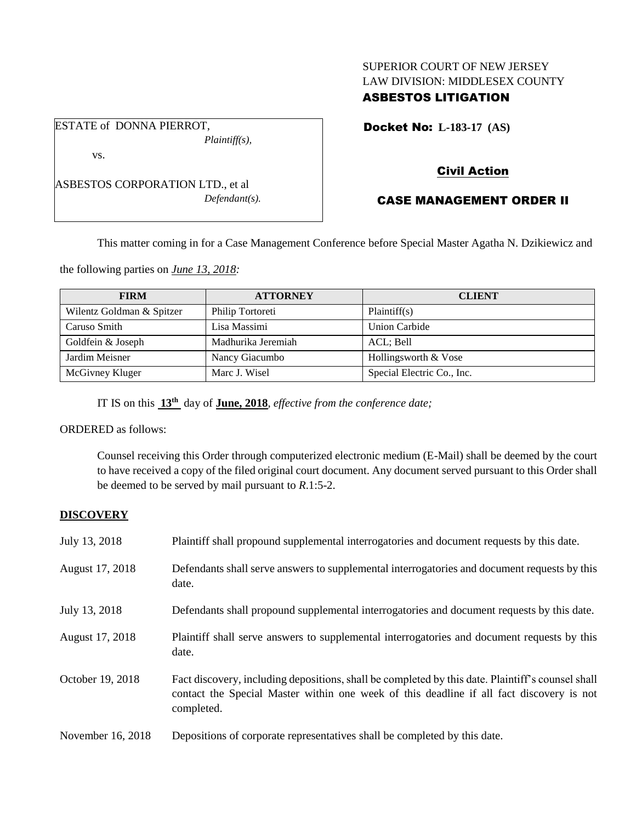# SUPERIOR COURT OF NEW JERSEY LAW DIVISION: MIDDLESEX COUNTY

## ASBESTOS LITIGATION

Docket No: **L-183-17 (AS)** 

vs.

ESTATE of DONNA PIERROT,

ASBESTOS CORPORATION LTD., et al *Defendant(s).*

*Plaintiff(s),*

## Civil Action

## CASE MANAGEMENT ORDER II

This matter coming in for a Case Management Conference before Special Master Agatha N. Dzikiewicz and

the following parties on *June 13, 2018:*

| <b>FIRM</b>               | <b>ATTORNEY</b>    | <b>CLIENT</b>              |
|---------------------------|--------------------|----------------------------|
| Wilentz Goldman & Spitzer | Philip Tortoreti   | Plaintiff(s)               |
| Caruso Smith              | Lisa Massimi       | Union Carbide              |
| Goldfein & Joseph         | Madhurika Jeremiah | ACL: Bell                  |
| Jardim Meisner            | Nancy Giacumbo     | Hollingsworth & Vose       |
| McGivney Kluger           | Marc J. Wisel      | Special Electric Co., Inc. |

IT IS on this  $13<sup>th</sup>$  day of **June, 2018**, *effective from the conference date*;

ORDERED as follows:

Counsel receiving this Order through computerized electronic medium (E-Mail) shall be deemed by the court to have received a copy of the filed original court document. Any document served pursuant to this Order shall be deemed to be served by mail pursuant to *R*.1:5-2.

#### **DISCOVERY**

| July 13, 2018     | Plaintiff shall propound supplemental interrogatories and document requests by this date.                                                                                                                   |
|-------------------|-------------------------------------------------------------------------------------------------------------------------------------------------------------------------------------------------------------|
| August 17, 2018   | Defendants shall serve answers to supplemental interrogatories and document requests by this<br>date.                                                                                                       |
| July 13, 2018     | Defendants shall propound supplemental interrogatories and document requests by this date.                                                                                                                  |
| August 17, 2018   | Plaintiff shall serve answers to supplemental interrogatories and document requests by this<br>date.                                                                                                        |
| October 19, 2018  | Fact discovery, including depositions, shall be completed by this date. Plaintiff's counsel shall<br>contact the Special Master within one week of this deadline if all fact discovery is not<br>completed. |
| November 16, 2018 | Depositions of corporate representatives shall be completed by this date.                                                                                                                                   |